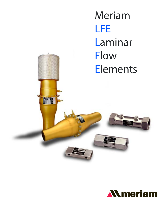Meriam LFE Laminar Flow **Elements** 



H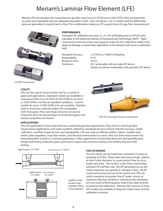# Meriam's Laminar Flow Element (LFE)

Meriam LFEs are excellent for measuring low gas flow rates from 0.2 SCCM up to 2250 SCFM. They are inherently accurate and repeatable and are calibrated traceable to NIST. Flow turndown s 20:1 or better and the differential pressure generated is nearly linear to flow. This combination makes an LFE a great choice for gas flow measurement



### **PErForManCE**

Standard LFE calibration accuracy is  $\pm$  0.72% of Reading (not % of Full Scale) traceable to the National Institute of Standards and Technology (NIST). Rigid construction and lack of any moving parts make the LFE calibration stable. Only physical damage or particulate deposition in the element will cause a calibration shift.

Repeatability: Response time: Turndown:

Standard Accuracy:  $\pm 0.72\%$  to  $\pm 0.86\%$  of Reading 0.1% 16 ms 20:1 achievable with accurate DP device Greater turndown achievable with precision DP device

LFE NPT Connection

### **utility**

LFEs can be used to measure flow rate for a variety of gases and applications. Standard models are available to measure as little as 0.2 SCCM (5.9 E-06 SCFM) to as much as 2250 SCFM of air flow at standard conditions. Custom models for up to 15,000 SCFM of air are available. Stainless steel or aluminum materials make LFEs compatible with most gases. Flow rate of gas mixtures can also be measured when the percentages of component gases and mixture properties are known.



LFEs for hose type process connections

### **aPPliCationS**

LFEs are applicable in most clean and non-condensing gas flow applications. They excel in critical gas flow measurement applications and make excellent calibration standards because of their inherent accuracy, stable calibration, excellent response time and repeatability. LFEs are used to calibrate turbine meters, variable area meters, flow regulators, mass flow meters, and thermal anemometers to name a few. Gas flow measurement for demanding flow control is a common application. Other applications include leak detection and quantification, design and testing of discrete parts, automotive engine and emissions testing, and window and door leak testing.







Capillary Tube Bundle (top); Capillary Matrix Array (bottom)

#### **tHE lFE MatriX**

The LFE matrix can be made from individual SS tubes or windings of SS foil. These tubes are long enough, relative to their inside diameter, to cause laminar flow to occur inside each tube. The result is a near linear relationship between DP and flow rate. The DP generated across the matrix responds very quickly to changes in flow. All DP is permanent pressure loss to the system but LFEs are sized to produce no greater than 8" water column at maximum flowing conditions. Individual tube diameters are very small so flowing gases need to be clean and dry to preserve the calibration. Filtered inlet versions of most LFE models are available to keep the matrix clean and the calibration constant.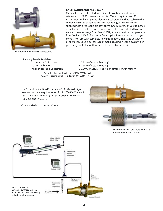

LFEs for flanged process connections

\*Accuracy Levels Available: Commercial Calibration Master Calibration Independent Lab Calibration

#### **Calibration and aCCuraCy**

Meriam LFEs are calibrated with air at atmospheric conditions referenced to 29.92" mercury absolute (760mm Hg. Abs.) and 70º F. (21.1º C). Each completed element is calibrated and traceable to the National Institute of Standards and Technology. Meriam LFEs are supplied with a reproducible flow curve in terms of SCFM versus inches of water differential pressure. Correction factors are included to cover an inlet pressure range from 26 to 36" Hg Abs. and an inlet temperature from 50º F to 150º F. For special flow applications, we request that you contact Meriam with complete flow information. The rated accuracy\* of all Meriam LFEs is percentage of actual reading; not the much wider percentage of full scale flow rate tolerance of other devices.

> ± 0.72% of Actual Reading† ± 0.64% of Actual Reading†† ± 0.50% of Actual Reading or better, consult factory

 $\dagger$   $\pm$  0.86% Reading for full scale flow of 1000 SCFM or higher  $\pm$  1.70% Reading for full scale flow of 1000 SCFM or higher

The Special Calibration Procedure #A- 33544 is designed to meet the basic requirements of MIL-STD-45662A, ANSI Z540, 10CFR50 and MIL-Q-9858A. Complies to 40CFR 1065.225 and 1065.240.

Contact Meriam for more information.





Filtered inlet LFEs available for intake measurement applications

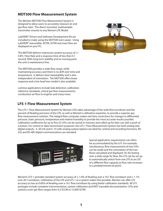### **MDT500 Flow Measurement System**

The Meriam MDT500 Flow Measurement System is designed to allow users to accurately measure air and gas flow rates. The direct mounted, multivariable transmitter mounts to any Meriam LFE Model.

LabVIEW® Drivers and Software Development Kit are included to make using the MDT500 even easier. Using LabVIEW® executable, ACFM, SCFM and mass flow are displayed on your PC.

The MDT500 delivers impressive system accuracy of +/- 0.8% Flow Rate and a response time of less than 0.1 second. With long term stability and no moving parts the unit is maintenance free.

The MDT500 provides a wide flow range, while maintaining accuracy and there is no drift over time and temperature. It delivers best repeatability and is also independent of orientation. The MDT500 offers linear response and a low head loss model is also available.

Laminar applications include leak detection, calibration reference standards, critical gas flow measurements, combustion air flow to engines and many more.

### **lFS-1 Flow Measurement System**

The LFS-1 Flow Measurement System for Meriam LFEs takes advantage of the wide flow turndown and the percent of Reading precision of the LFE, as well as Meriam's calibration expertise, to provide a superior gas flow measurement solution. The integral flow computer makes real time corrections for changes in differential pressure, static pressure, temperature and relative humidity to provide the most accurate results possible. Calibration coefficients for up to five (5) LFEs can be stored in memory and called up for later use with a push of a button. For control or data transmission purposes, the LFS-1 Flow Measurement System has both analog and digital outputs. 4–20 mA and 0–10 volts analog output options are ideal for control and recording functions. RS-232 and RS-485 digital communications are standard.



Special application requirements can often be accommodated by the LFS. For example, simultaneous flow measurement of two LFEs can be made and the summation of the two flows calculated and displayed. Or, for testing over a wide range for flow, the LFS can be set up to automatically switch from one LFE to an LFE of a different flow capacity as flow rate increases to a predetermined set point.

Meriam's LFS-1 provides standard system accuracy of  $\pm$  1.0% of Reading over a 10:1 flow turndown and  $\pm$  1.1% over 20:1 turndown. Calibration of the LFE and LFS-1 as a system makes this possible. Meriam can offer LFS accuracy as low as 0.60% of Reading over a 10:1 flow turndown by using better calibration standards. All LFS packages include complete instrumentation, system calibration and NIST traceable documentation. LFEs and systems cover gas flow ranges from 0.2 SCCM to 15,000 SCFM.

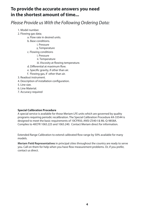## **to provide the accurate answers you need in the shortest amount of time...**

# *Please Provide us With the Following Ordering Data:*

- 1. Model number.
- 2. Flowing gas data;
	- a. Flow rate in desired units.
	- b. Base conditions.
		- i. Pressure
		- ii.Temperature
	- c. Flowing conditions
		- i. Pressure
			- ii. Temperature
		- iii. Viscosity at flowing temperature.
	- d. Differential at maximum flow.
	- e. Specific gravity, if other than air.
	- f. Flowing gas, if other than air.
- 3. Readout instrument.
- 4. Description of installation configuration.
- 5. Line size.
- 6. Line Material.
- 7. Accuracy required

### **Special Calibration Procedure**

A special service is available for those Meriam LFE units which are governed by quality programs requiring periodic recalibration. The Special Calibration Procedure #A-33544 is designed to meet the basic requirements of 10CFR50, ANSI-Z540-I & ML-Q-9858A. Complies to 40CFR 1065.225 and 1065.240. Contact Meriam direct for information.

Extended Range Calibration to extend calibrated flow range by 50% available for many models.

**Meriam Field Representatives** in principal cities throughout the country are ready to serve you. Call on them for help when you have flow measurement problems. Or, if you prefer, contact us direct.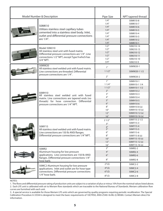|  | Model Number & Description                                                                                                                                                                | Pipe Size               | NPT tapered thread       |  |
|--|-------------------------------------------------------------------------------------------------------------------------------------------------------------------------------------------|-------------------------|--------------------------|--|
|  |                                                                                                                                                                                           | 1/4''                   | 50MK10-8                 |  |
|  |                                                                                                                                                                                           | 1/4''                   | 50MK10-7                 |  |
|  | 50MK10                                                                                                                                                                                    | 1/4''                   | 50MK10-6                 |  |
|  | Utilizes stainless steel capillary tubes                                                                                                                                                  | 1/4''                   | 50MK10-5                 |  |
|  | cemented into a stainless steel body. Inlet,<br>outlet and differential pressure connections<br>are $1/4$ ".                                                                              | 1/4''                   | 50MK10-4                 |  |
|  |                                                                                                                                                                                           | 1/4''                   | 50MK10-3                 |  |
|  |                                                                                                                                                                                           | 1/4''                   | 50MK10-2                 |  |
|  |                                                                                                                                                                                           | 1/4''                   | 50MK10-1                 |  |
|  | Model 50MJ10<br>All stainless steel unit with fused matrix.<br>Differential pressure connections are 1/4". Line<br>connections 1/2" NPT, except Type 9 which has                          | 1/2"                    | 50MJ10-14                |  |
|  |                                                                                                                                                                                           | 1/2''                   | 50MJ10-13                |  |
|  |                                                                                                                                                                                           | 1/2"                    | 50MJ10-12                |  |
|  |                                                                                                                                                                                           | 1/2''                   | 50MJ10-11                |  |
|  | 3/4" NPT.                                                                                                                                                                                 | 1/2''                   | 50MJ10-10                |  |
|  |                                                                                                                                                                                           | 3/4''                   | 50MJ10-9                 |  |
|  | 50MW20<br>All stainless steel welded unit with fused matrix.<br>Line connections are threaded. Differential                                                                               | 1 <sup>''</sup>         | 50MW20-1                 |  |
|  |                                                                                                                                                                                           | 11/2"                   | 50MW20-11/2              |  |
|  | pressure connections are 1/4".                                                                                                                                                            | 2 <sup>''</sup>         | 50MW20-2                 |  |
|  |                                                                                                                                                                                           | 1''                     | 50MH10-1                 |  |
|  |                                                                                                                                                                                           | 11/4"                   | 50MH10-11/4              |  |
|  | 50MH10<br>All stainless steel welded unit with fused<br>matrix. Line connections are tapered ends (no<br>threads) for hose connection. Differential<br>pressure connections are 1/4" NPT. | 11/2"                   | 50MH10-11/2              |  |
|  |                                                                                                                                                                                           | 2 <sup>n</sup>          | 50MH10-2                 |  |
|  |                                                                                                                                                                                           | 3''                     | 50MH10-3                 |  |
|  |                                                                                                                                                                                           | 4 <sup>''</sup>         | 50MH10-4                 |  |
|  |                                                                                                                                                                                           | 5''                     | 50MH10-5                 |  |
|  |                                                                                                                                                                                           | 6''                     | 50MH10-6                 |  |
|  |                                                                                                                                                                                           | $8''$                   | 50MH10-8 (x)             |  |
|  |                                                                                                                                                                                           | 10''                    | 50MH10-10 (x)            |  |
|  |                                                                                                                                                                                           | 12''                    | 50MH10-12(x)             |  |
|  |                                                                                                                                                                                           | 16''                    | 50MH10-16(x)             |  |
|  | 50MY15<br>All stainless steel welded unit with fused matrix.<br>Line connections are 150 lb ANSI flanges.<br>Differential pressure connections are 1/4" NPT.                              | 21/2"                   | 50MY15-2 1/2<br>50MY15-3 |  |
|  |                                                                                                                                                                                           | 3''                     | 50MY15-4                 |  |
|  |                                                                                                                                                                                           | $\frac{4}{5}$           | 50MY15-5                 |  |
|  |                                                                                                                                                                                           | 6''                     | 50MY15-6                 |  |
|  |                                                                                                                                                                                           | $8''$                   | 50MY15-8 (x)             |  |
|  |                                                                                                                                                                                           | 10''                    | 50MY15-10(x)             |  |
|  |                                                                                                                                                                                           | 12''                    | 50MY15-12(x)             |  |
|  |                                                                                                                                                                                           | 16''                    | 50MY15-16 (x)            |  |
|  | 50MR2<br>Aluminum housing for low pressure<br>applications. Line connections are 150 lb ANSI                                                                                              | 2 <sup>''</sup>         | 50MR2-2                  |  |
|  |                                                                                                                                                                                           | 4 <sup>''</sup>         | 50MR2-4                  |  |
|  |                                                                                                                                                                                           | 6''                     | 50MR2-6                  |  |
|  | flanges. Differential pressure connections 1/4"<br>hose barb.                                                                                                                             | 8''                     | 50MR2-8                  |  |
|  | 50MC2 Aluminum housing for low pressure                                                                                                                                                   | $2^{\prime\prime}$ I.D. | 50MC2-2                  |  |
|  | applications. Inlet and outlet are for hose type                                                                                                                                          | 4"I.D.                  | 50MC2-4                  |  |
|  | connections. Differential pressure connections                                                                                                                                            | $6^{\prime\prime}$ I.D. | 50MC2-6                  |  |
|  | 1/4" hose barb.                                                                                                                                                                           | 8"I.D.                  | 50MC2-8                  |  |

NOTES:

1. The flows and differential pressure rating of production units are subject to a variation of plus or minus 10% from the nominal values listed above.

2. Each LFE unit is calibrated with air to Meriam flow standards which are traceable to the National Bureau of Standards. Meriam calibration flow curves are furnished with each unit.

3. A special service is available for those Meriam LFE units which are governed by quality programs requiring periodic recalibration. The Special Calibration Procedure A-33544 is designed to meet the basic requirements of 10CFR50, ANSI-Z540-I & ML-Q-9858A. Contact Meriam direct for information.